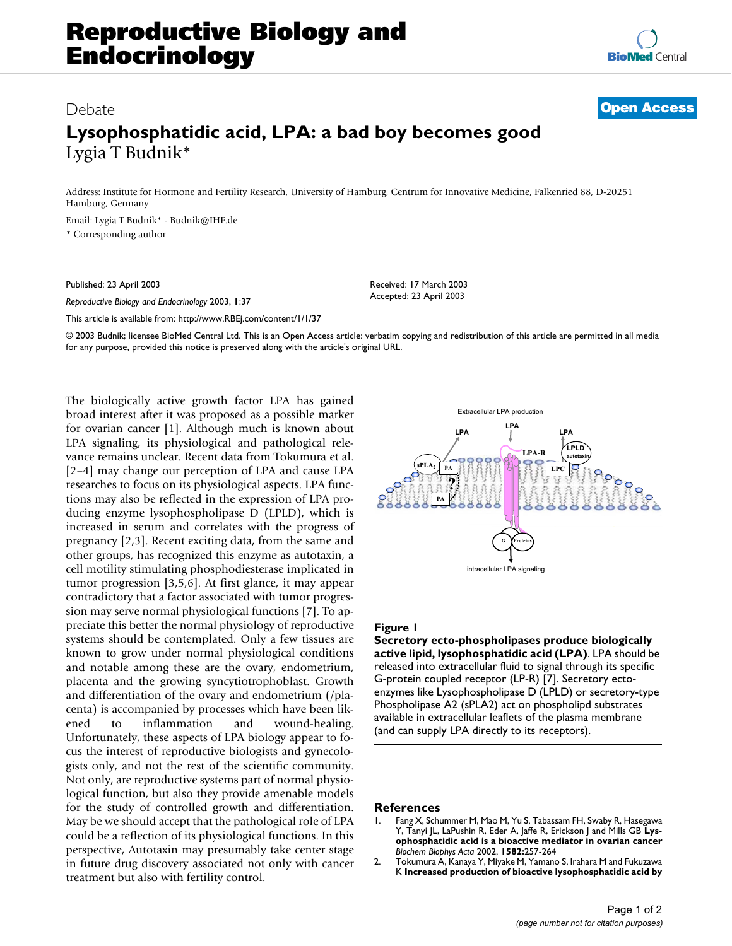## Debate **[Open Access](http://www.biomedcentral.com/info/about/charter/)**

## **Lysophosphatidic acid, LPA: a bad boy becomes good** Lygia T Budnik\*

Address: Institute for Hormone and Fertility Research, University of Hamburg, Centrum for Innovative Medicine, Falkenried 88, D-20251 Hamburg, Germany

Email: Lygia T Budnik\* - Budnik@IHF.de \* Corresponding author

Published: 23 April 2003

*Reproductive Biology and Endocrinology* 2003, **1**:37

[This article is available from: http://www.RBEj.com/content/1/1/37](http://www.RBEj.com/content/1/1/37)

Received: 17 March 2003 Accepted: 23 April 2003

© 2003 Budnik; licensee BioMed Central Ltd. This is an Open Access article: verbatim copying and redistribution of this article are permitted in all media for any purpose, provided this notice is preserved along with the article's original URL.

The biologically active growth factor LPA has gained broad interest after it was proposed as a possible marker for ovarian cancer [1]. Although much is known about LPA signaling, its physiological and pathological relevance remains unclear. Recent data from Tokumura et al. [2–4] may change our perception of LPA and cause LPA researches to focus on its physiological aspects. LPA functions may also be reflected in the expression of LPA producing enzyme lysophospholipase D (LPLD), which is increased in serum and correlates with the progress of pregnancy [2,3]. Recent exciting data, from the same and other groups, has recognized this enzyme as autotaxin, a cell motility stimulating phosphodiesterase implicated in tumor progression [3,5,6]. At first glance, it may appear contradictory that a factor associated with tumor progression may serve normal physiological functions [7]. To appreciate this better the normal physiology of reproductive systems should be contemplated. Only a few tissues are known to grow under normal physiological conditions and notable among these are the ovary, endometrium, placenta and the growing syncytiotrophoblast. Growth and differentiation of the ovary and endometrium (/placenta) is accompanied by processes which have been likened to inflammation and wound-healing. Unfortunately, these aspects of LPA biology appear to focus the interest of reproductive biologists and gynecologists only, and not the rest of the scientific community. Not only, are reproductive systems part of normal physiological function, but also they provide amenable models for the study of controlled growth and differentiation. May be we should accept that the pathological role of LPA could be a reflection of its physiological functions. In this perspective, Autotaxin may presumably take center stage in future drug discovery associated not only with cancer treatment but also with fertility control.



## **Figure 1**

**Secretory ecto-phospholipases produce biologically active lipid, lysophosphatidic acid (LPA)**. LPA should be released into extracellular fluid to signal through its specific G-protein coupled receptor (LP-R) [7]. Secretory ectoenzymes like Lysophospholipase D (LPLD) or secretory-type Phospholipase A2 (sPLA2) act on phospholipd substrates available in extracellular leaflets of the plasma membrane (and can supply LPA directly to its receptors).

## **References**

- 1. Fang X, Schummer M, Mao M, Yu S, Tabassam FH, Swaby R, Hasegawa Y, Tanyi JL, LaPushin R, Eder A, Jaffe R, Erickson J and Mills GB **[Lys](http://www.ncbi.nlm.nih.gov/entrez/query.fcgi?cmd=Retrieve&db=PubMed&dopt=Abstract&list_uids=12069836)[ophosphatidic acid is a bioactive mediator in ovarian cancer](http://www.ncbi.nlm.nih.gov/entrez/query.fcgi?cmd=Retrieve&db=PubMed&dopt=Abstract&list_uids=12069836)** *Biochem Biophys Acta* 2002, **1582:**257-264
- 2. Tokumura A, Kanaya Y, Miyake M, Yamano S, Irahara M and Fukuzawa K **[Increased production of bioactive lysophosphatidic acid by](http://www.ncbi.nlm.nih.gov/entrez/query.fcgi?cmd=Retrieve&db=PubMed&dopt=Abstract&list_uids=12390867)**